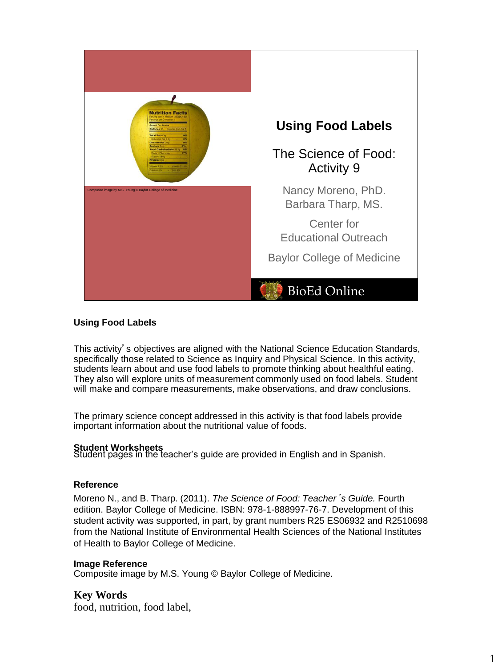

# **Using Food Labels**

This activity's objectives are aligned with the National Science Education Standards, specifically those related to Science as Inquiry and Physical Science. In this activity, students learn about and use food labels to promote thinking about healthful eating. They also will explore units of measurement commonly used on food labels. Student will make and compare measurements, make observations, and draw conclusions.

The primary science concept addressed in this activity is that food labels provide important information about the nutritional value of foods.

**Student Worksheets**<br>Student pages in the teacher's guide are provided in English and in Spanish.

## **Reference**

Moreno N., and B. Tharp. (2011). *The Science of Food: Teacher*'*s Guide.* Fourth edition. Baylor College of Medicine. ISBN: 978-1-888997-76-7. Development of this student activity was supported, in part, by grant numbers R25 ES06932 and R2510698 from the National Institute of Environmental Health Sciences of the National Institutes of Health to Baylor College of Medicine.

#### **Image Reference**

Composite image by M.S. Young © Baylor College of Medicine.

**Key Words** food, nutrition, food label,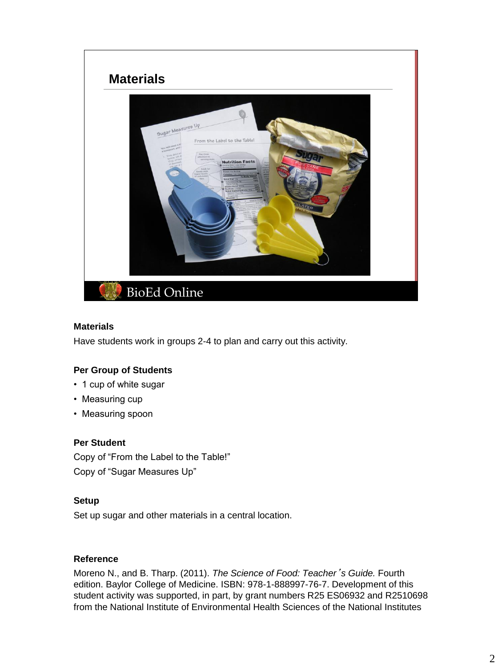

## **Materials**

Have students work in groups 2-4 to plan and carry out this activity.

## **Per Group of Students**

- 1 cup of white sugar
- Measuring cup
- Measuring spoon

#### **Per Student**

Copy of "From the Label to the Table!" Copy of "Sugar Measures Up"

## **Setup**

Set up sugar and other materials in a central location.

## **Reference**

Moreno N., and B. Tharp. (2011). *The Science of Food: Teacher*'*s Guide.* Fourth edition. Baylor College of Medicine. ISBN: 978-1-888997-76-7. Development of this student activity was supported, in part, by grant numbers R25 ES06932 and R2510698 from the National Institute of Environmental Health Sciences of the National Institutes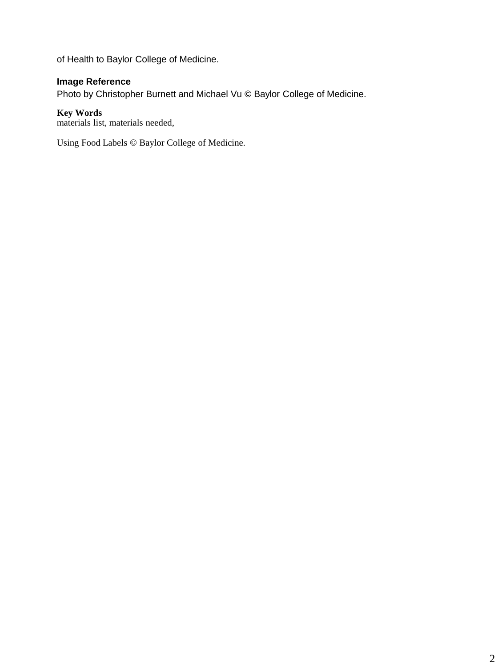of Health to Baylor College of Medicine.

# **Image Reference**

Photo by Christopher Burnett and Michael Vu © Baylor College of Medicine.

# **Key Words**

materials list, materials needed,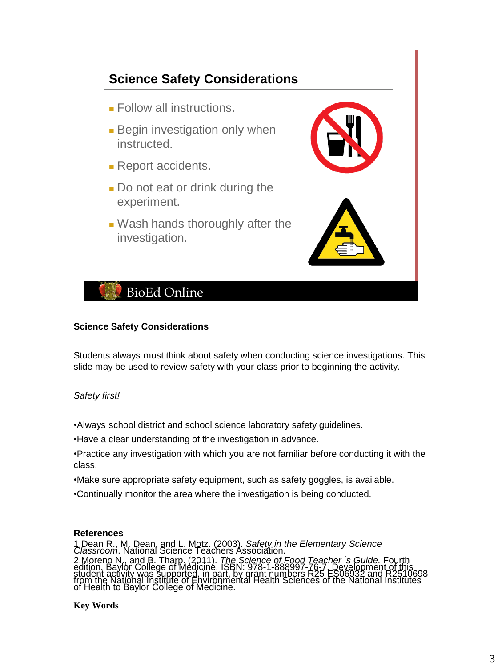

## **Science Safety Considerations**

Students always must think about safety when conducting science investigations. This slide may be used to review safety with your class prior to beginning the activity.

*Safety first!*

•Always school district and school science laboratory safety guidelines.

•Have a clear understanding of the investigation in advance.

- •Practice any investigation with which you are not familiar before conducting it with the class.
- •Make sure appropriate safety equipment, such as safety goggles, is available.
- •Continually monitor the area where the investigation is being conducted.

#### **References**

1.Dean R., M. Dean, and L. Motz. (2003). *Safety in the Elementary Science Classroom*. National Science Teachers Association. Subtraction N., and B. Thang. (2011). The Science of Food Teacher's Guide. Fourth<br>edition. Baylor College of Medicine. ISBN: 978-1-888997-76-7. Development of this<br>student activity was supported, in part, by grant numbers

#### **Key Words**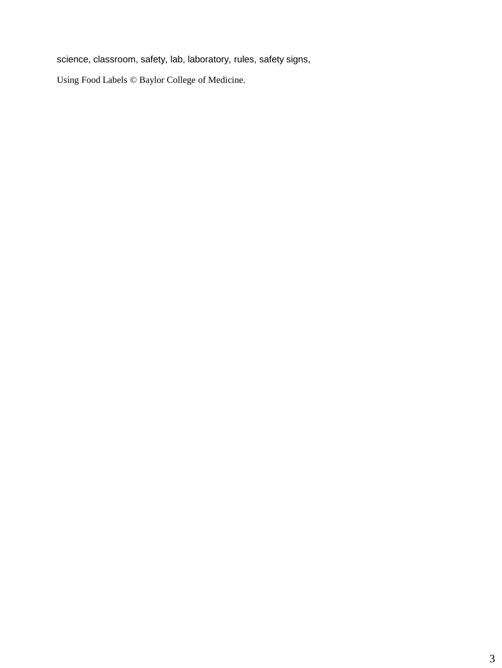science, classroom, safety, lab, laboratory, rules, safety signs,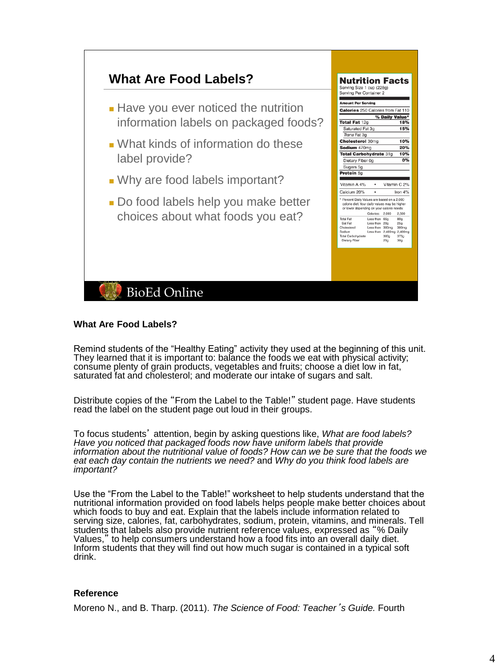

 $15%$ 

10%

20%

 $10%$ 

 $\overline{\Omega^{0/2}}$ 

#### **What Are Food Labels?**

Remind students of the "Healthy Eating" activity they used at the beginning of this unit. They learned that it is important to: balance the foods we eat with physical activity; consume plenty of grain products, vegetables and fruits; choose a diet low in fat, saturated fat and cholesterol; and moderate our intake of sugars and salt.

Distribute copies of the "From the Label to the Table!" student page. Have students read the label on the student page out loud in their groups.

To focus students' attention, begin by asking questions like, *What are food labels? Have you noticed that packaged foods now have uniform labels that provide information about the nutritional value of foods? How can we be sure that the foods we eat each day contain the nutrients we need?* and *Why do you think food labels are important?* 

Use the "From the Label to the Table!" worksheet to help students understand that the nutritional information provided on food labels helps people make better choices about which foods to buy and eat. Explain that the labels include information related to serving size, calories, fat, carbohydrates, sodium, protein, vitamins, and minerals. Tell students that labels also provide nutrient reference values, expressed as "% Daily Values," to help consumers understand how a food fits into an overall daily diet. Inform students that they will find out how much sugar is contained in a typical soft drink.

#### **Reference**

Moreno N., and B. Tharp. (2011). *The Science of Food: Teacher*'*s Guide.* Fourth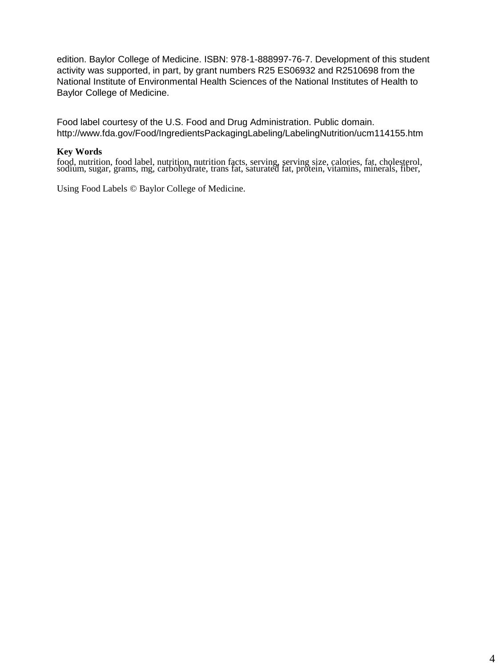edition. Baylor College of Medicine. ISBN: 978-1-888997-76-7. Development of this student activity was supported, in part, by grant numbers R25 ES06932 and R2510698 from the National Institute of Environmental Health Sciences of the National Institutes of Health to Baylor College of Medicine.

Food label courtesy of the U.S. Food and Drug Administration. Public domain. http://www.fda.gov/Food/IngredientsPackagingLabeling/LabelingNutrition/ucm114155.htm

#### **Key Words**

food, nutrition, food label, nutrition, nutrition facts, serving, serving size, calories, fat, cholesterol, sodium, sugar, grams, mg, carbohydrate, trans fat, saturated fat, protein, vitamins, minerals, fiber,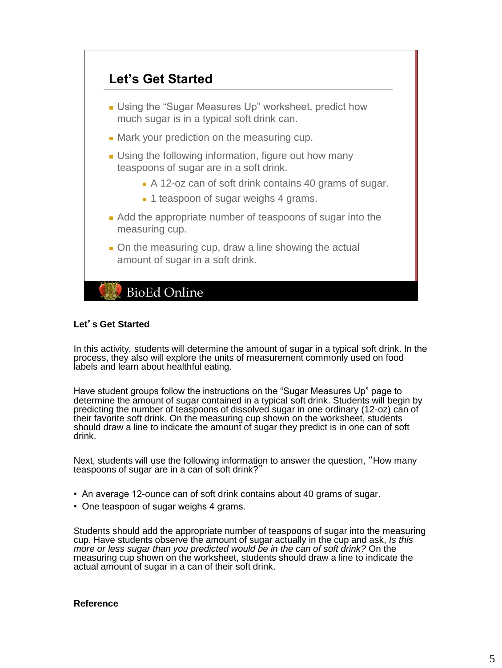

#### **Let**'**s Get Started**

In this activity, students will determine the amount of sugar in a typical soft drink. In the process, they also will explore the units of measurement commonly used on food labels and learn about healthful eating.

Have student groups follow the instructions on the "Sugar Measures Up" page to determine the amount of sugar contained in a typical soft drink. Students will begin by predicting the number of teaspoons of dissolved sugar in one ordinary (12-oz) can of their favorite soft drink. On the measuring cup shown on the worksheet, students should draw a line to indicate the amount of sugar they predict is in one can of soft drink.

Next, students will use the following information to answer the question, "How many teaspoons of sugar are in a can of soft drink?"

- An average 12-ounce can of soft drink contains about 40 grams of sugar.
- One teaspoon of sugar weighs 4 grams.

Students should add the appropriate number of teaspoons of sugar into the measuring cup. Have students observe the amount of sugar actually in the cup and ask, *Is this more or less sugar than you predicted would be in the can of soft drink?* On the measuring cup shown on the worksheet, students should draw a line to indicate the actual amount of sugar in a can of their soft drink.

#### **Reference**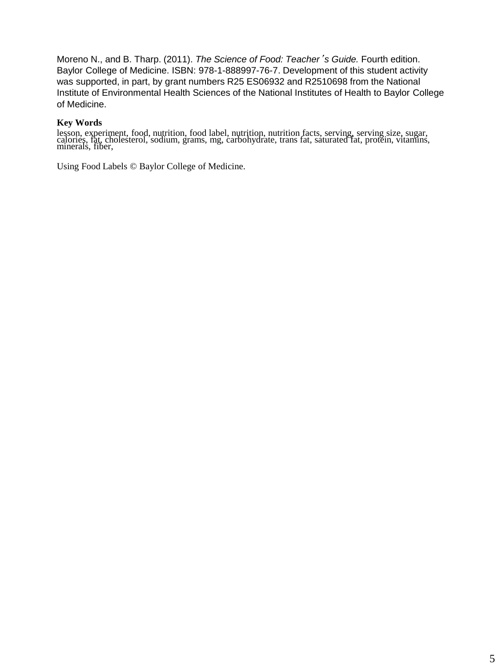Moreno N., and B. Tharp. (2011). *The Science of Food: Teacher*'*s Guide.* Fourth edition. Baylor College of Medicine. ISBN: 978-1-888997-76-7. Development of this student activity was supported, in part, by grant numbers R25 ES06932 and R2510698 from the National Institute of Environmental Health Sciences of the National Institutes of Health to Baylor College of Medicine.

#### **Key Words**

lesson, experiment, food, nutrition, food label, nutrition, nutrition facts, serving, serving size, sugar, calories, fat, cholesterol, sodium, grams, mg, carbohydrate, trans fat, saturated fat, protein, vitamins, minerals,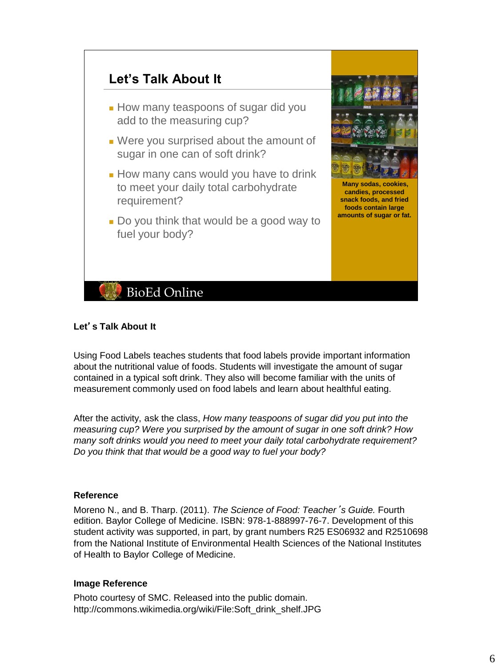

# **Let**'**s Talk About It**

Using Food Labels teaches students that food labels provide important information about the nutritional value of foods. Students will investigate the amount of sugar contained in a typical soft drink. They also will become familiar with the units of measurement commonly used on food labels and learn about healthful eating.

After the activity, ask the class, *How many teaspoons of sugar did you put into the measuring cup? Were you surprised by the amount of sugar in one soft drink? How many soft drinks would you need to meet your daily total carbohydrate requirement? Do you think that that would be a good way to fuel your body?*

## **Reference**

Moreno N., and B. Tharp. (2011). *The Science of Food: Teacher*'*s Guide.* Fourth edition. Baylor College of Medicine. ISBN: 978-1-888997-76-7. Development of this student activity was supported, in part, by grant numbers R25 ES06932 and R2510698 from the National Institute of Environmental Health Sciences of the National Institutes of Health to Baylor College of Medicine.

## **Image Reference**

Photo courtesy of SMC. Released into the public domain. http://commons.wikimedia.org/wiki/File:Soft\_drink\_shelf.JPG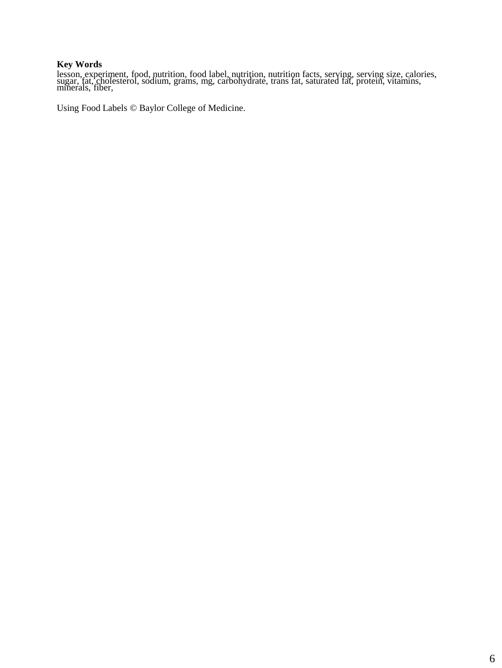## **Key Words**

lesson, experiment, food, nutrition, food label, nutrition, nutrition facts, serving, serving size, calories,<br>sugar, fat, cholesterol, sodium, grams, mg, carbohydrate, trans fat, saturated fat, protein, vitamins,<br>minerals,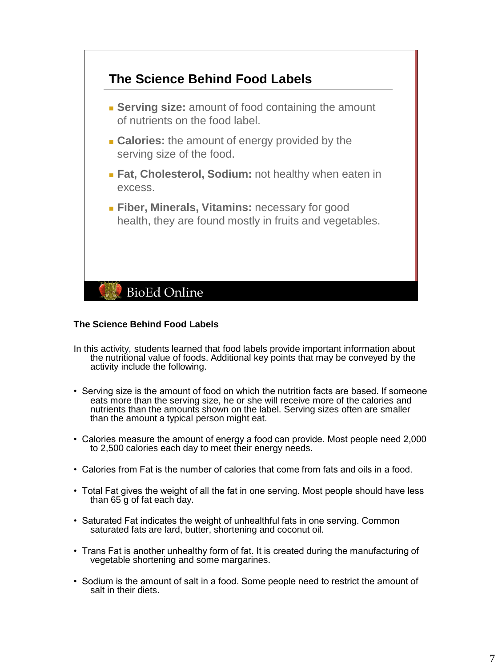

#### **The Science Behind Food Labels**

- In this activity, students learned that food labels provide important information about the nutritional value of foods. Additional key points that may be conveyed by the activity include the following.
- Serving size is the amount of food on which the nutrition facts are based. If someone eats more than the serving size, he or she will receive more of the calories and nutrients than the amounts shown on the label. Serving sizes often are smaller than the amount a typical person might eat.
- Calories measure the amount of energy a food can provide. Most people need 2,000 to 2,500 calories each day to meet their energy needs.
- Calories from Fat is the number of calories that come from fats and oils in a food.
- Total Fat gives the weight of all the fat in one serving. Most people should have less than 65 g of fat each day.
- Saturated Fat indicates the weight of unhealthful fats in one serving. Common saturated fats are lard, butter, shortening and coconut oil.
- Trans Fat is another unhealthy form of fat. It is created during the manufacturing of vegetable shortening and some margarines.
- Sodium is the amount of salt in a food. Some people need to restrict the amount of salt in their diets.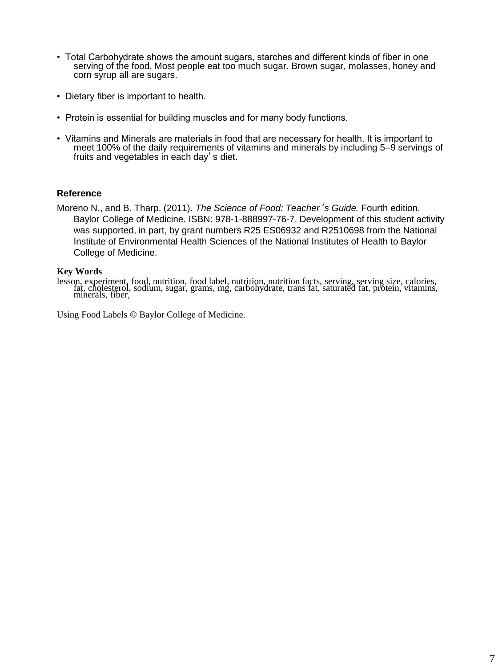- Total Carbohydrate shows the amount sugars, starches and different kinds of fiber in one serving of the food. Most people eat too much sugar. Brown sugar, molasses, honey and corn syrup all are sugars.
- Dietary fiber is important to health.
- Protein is essential for building muscles and for many body functions.
- Vitamins and Minerals are materials in food that are necessary for health. It is important to meet 100% of the daily requirements of vitamins and minerals by including 5–9 servings of fruits and vegetables in each day's diet.

# **Reference**

Moreno N., and B. Tharp. (2011). *The Science of Food: Teacher*'*s Guide.* Fourth edition. Baylor College of Medicine. ISBN: 978-1-888997-76-7. Development of this student activity was supported, in part, by grant numbers R25 ES06932 and R2510698 from the National Institute of Environmental Health Sciences of the National Institutes of Health to Baylor College of Medicine.

#### **Key Words**

lesson, experiment, food, nutrition, food label, nutrition, nutrition facts, serving, serving size, calories, fat, cholesterol, sodium, sugar, grams, mg, carbohydrate, trans fat, saturated fat, protein, vitamins, minerals,